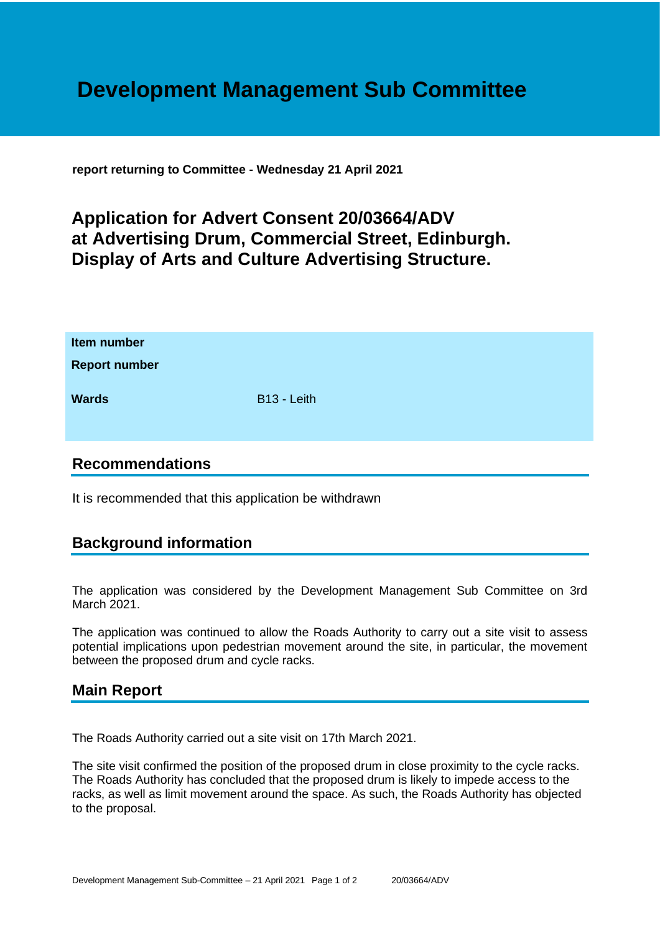# **Development Management Sub Committee**

**report returning to Committee - Wednesday 21 April 2021**

## **Application for Advert Consent 20/03664/ADV at Advertising Drum, Commercial Street, Edinburgh. Display of Arts and Culture Advertising Structure.**

| Item number<br><b>Report number</b> |             |
|-------------------------------------|-------------|
| <b>Wards</b>                        | B13 - Leith |

#### **Recommendations**

It is recommended that this application be withdrawn

### **Background information**

The application was considered by the Development Management Sub Committee on 3rd March 2021.

The application was continued to allow the Roads Authority to carry out a site visit to assess potential implications upon pedestrian movement around the site, in particular, the movement between the proposed drum and cycle racks.

#### **Main Report**

The Roads Authority carried out a site visit on 17th March 2021.

The site visit confirmed the position of the proposed drum in close proximity to the cycle racks. The Roads Authority has concluded that the proposed drum is likely to impede access to the racks, as well as limit movement around the space. As such, the Roads Authority has objected to the proposal.